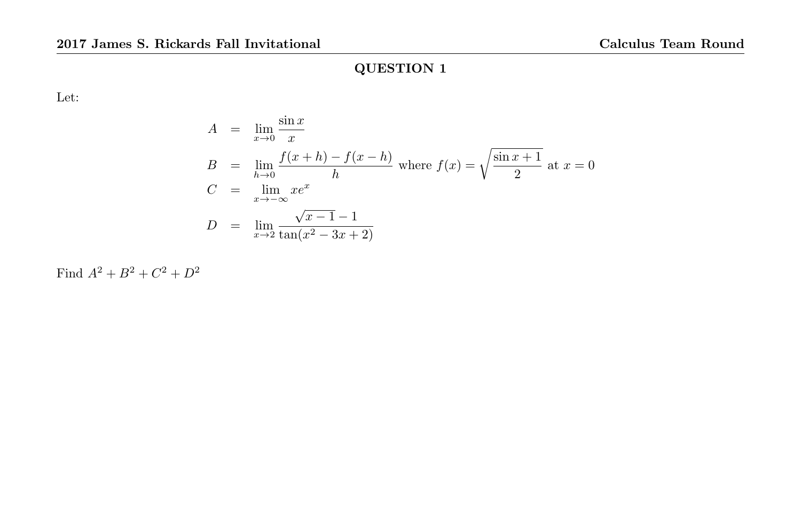Let:

$$
A = \lim_{x \to 0} \frac{\sin x}{x}
$$
  
\n
$$
B = \lim_{h \to 0} \frac{f(x+h) - f(x-h)}{h} \text{ where } f(x) = \sqrt{\frac{\sin x + 1}{2}} \text{ at } x = 0
$$
  
\n
$$
C = \lim_{x \to -\infty} xe^x
$$
  
\n
$$
D = \lim_{x \to 2} \frac{\sqrt{x-1} - 1}{\tan(x^2 - 3x + 2)}
$$

Find  $A^2 + B^2 + C^2 + D^2$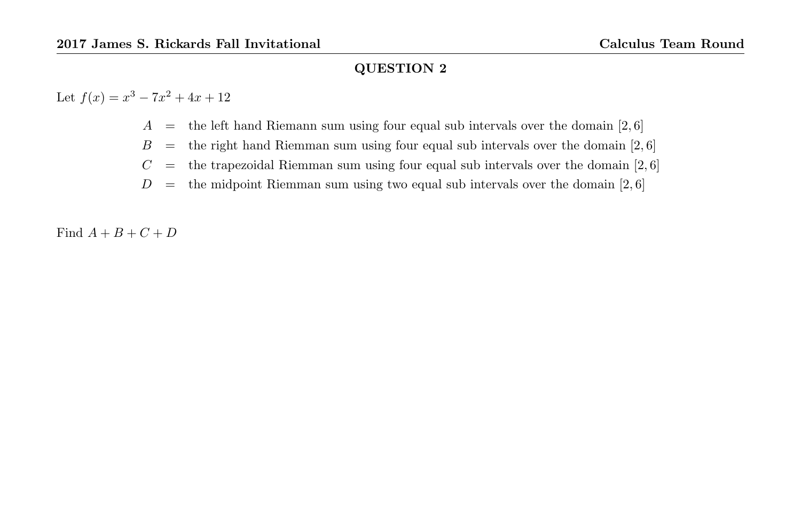Let  $f(x) = x^3 - 7x^2 + 4x + 12$ 

- $A =$  the left hand Riemann sum using four equal sub intervals over the domain [2, 6]
- $B =$  the right hand Riemman sum using four equal sub intervals over the domain [2,6]
- $C =$  the trapezoidal Riemman sum using four equal sub intervals over the domain [2,6]
- $D =$  the midpoint Riemman sum using two equal sub intervals over the domain [2, 6]

Find  $A + B + C + D$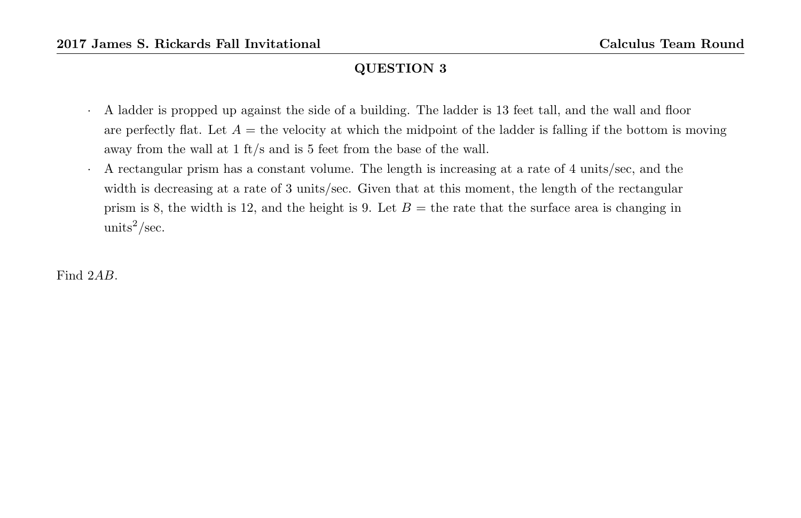- · A ladder is propped up against the side of a building. The ladder is 13 feet tall, and the wall and floor are perfectly flat. Let  $A =$  the velocity at which the midpoint of the ladder is falling if the bottom is moving away from the wall at 1 ft/s and is 5 feet from the base of the wall.
- · A rectangular prism has a constant volume. The length is increasing at a rate of 4 units/sec, and the width is decreasing at a rate of 3 units/sec. Given that at this moment, the length of the rectangular prism is 8, the width is 12, and the height is 9. Let  $B =$  the rate that the surface area is changing in  $units^2/sec.$

Find 2AB.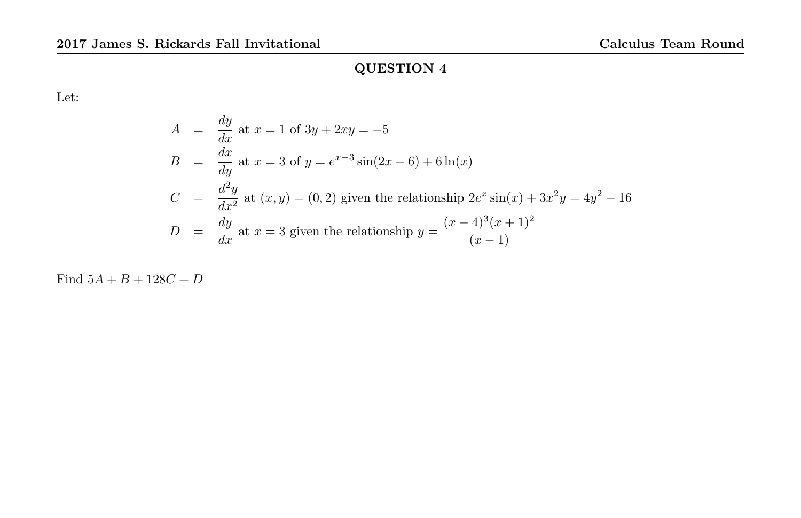Let:

$$
A = \frac{dy}{dx} \text{ at } x = 1 \text{ of } 3y + 2xy = -5
$$
  
\n
$$
B = \frac{dx}{dy} \text{ at } x = 3 \text{ of } y = e^{x-3} \sin(2x - 6) + 6 \ln(x)
$$
  
\n
$$
C = \frac{d^2y}{dx^2} \text{ at } (x, y) = (0, 2) \text{ given the relationship } 2e^x \sin(x) + 3x^2y = 4y^2 - 16
$$
  
\n
$$
D = \frac{dy}{dx} \text{ at } x = 3 \text{ given the relationship } y = \frac{(x-4)^3(x+1)^2}{(x-1)}
$$

Find  $5A + B + 128C + D$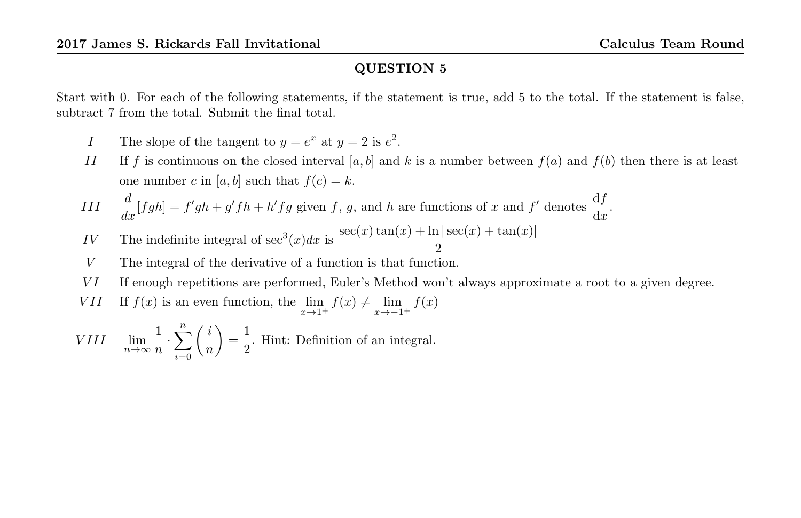Start with 0. For each of the following statements, if the statement is true, add 5 to the total. If the statement is false, subtract 7 from the total. Submit the final total.

- *I* The slope of the tangent to  $y = e^x$  at  $y = 2$  is  $e^2$ .
- II If f is continuous on the closed interval [a, b] and k is a number between  $f(a)$  and  $f(b)$  then there is at least one number c in [a, b] such that  $f(c) = k$ .

III 
$$
\frac{d}{dx}[fgh] = f'gh + g'fh + h'fg
$$
 given f, g, and h are functions of x and f' denotes  $\frac{df}{dx}$ .

- IV The indefinite integral of  $\sec^3(x)dx$  is  $\frac{\sec(x)\tan(x) + \ln|\sec(x) + \tan(x)|}{2}$ 2
- V The integral of the derivative of a function is that function.
- VI If enough repetitions are performed, Euler's Method won't always approximate a root to a given degree.

*VII* If 
$$
f(x)
$$
 is an even function, the  $\lim_{x \to 1^+} f(x) \neq \lim_{x \to -1^+} f(x)$ 

VIII 
$$
\lim_{n \to \infty} \frac{1}{n} \cdot \sum_{i=0}^{n} \left(\frac{i}{n}\right) = \frac{1}{2}
$$
. Hint: Definition of an integral.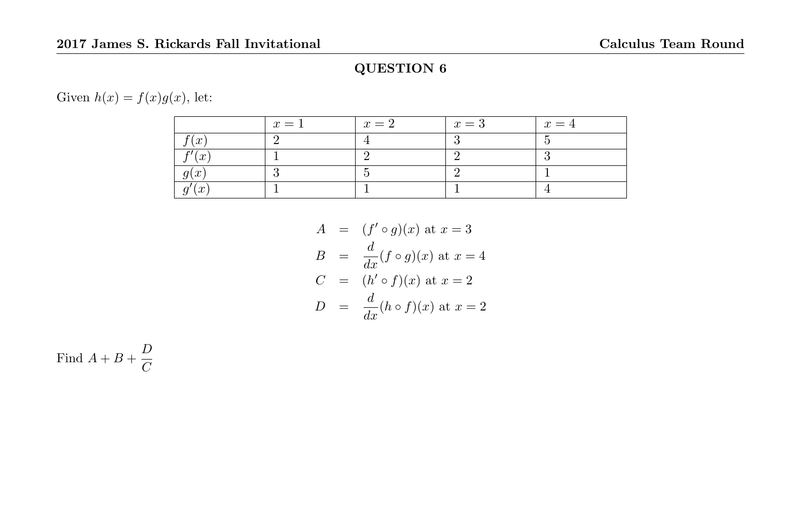Given  $h(x) = f(x)g(x)$ , let:

|                | $x=1$ | $x=2$ | $x=3$ | $x=4$ |
|----------------|-------|-------|-------|-------|
| (x)            |       |       |       |       |
| $^{\prime}(x)$ |       |       |       |       |
| g(x)           |       |       |       |       |
| g'(x)          |       |       |       |       |

$$
A = (f' \circ g)(x) \text{ at } x = 3
$$
  
\n
$$
B = \frac{d}{dx}(f \circ g)(x) \text{ at } x = 4
$$
  
\n
$$
C = (h' \circ f)(x) \text{ at } x = 2
$$
  
\n
$$
D = \frac{d}{dx}(h \circ f)(x) \text{ at } x = 2
$$

Find  $A + B + \frac{D}{C}$  $\mathcal{C}_{0}^{(n)}$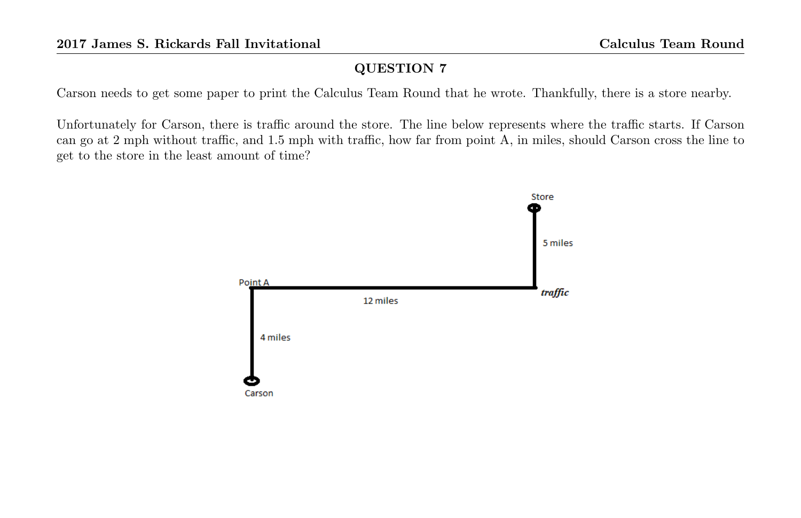Carson needs to get some paper to print the Calculus Team Round that he wrote. Thankfully, there is a store nearby.

Unfortunately for Carson, there is traffic around the store. The line below represents where the traffic starts. If Carson can go at 2 mph without traffic, and 1.5 mph with traffic, how far from point A, in miles, should Carson cross the line to get to the store in the least amount of time?

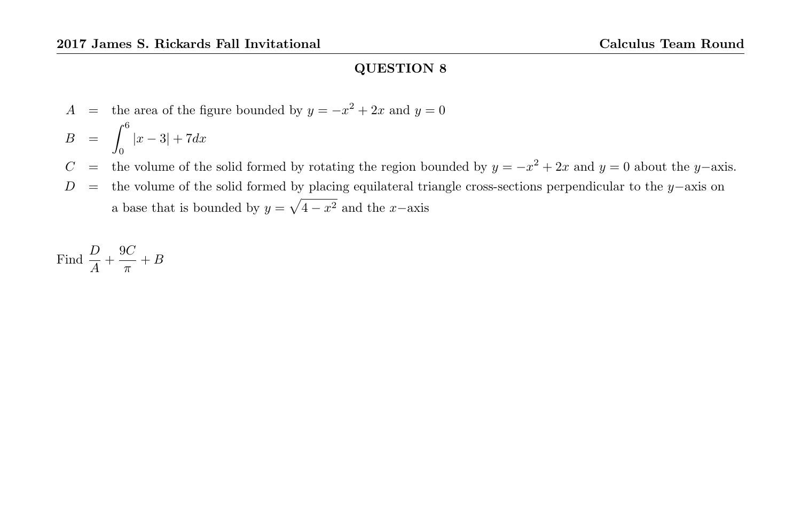$$
A =
$$
 the area of the figure bounded by  $y = -x^2 + 2x$  and  $y = 0$   

$$
B = \int_0^6 |x - 3| + 7 dx
$$

C = the volume of the solid formed by rotating the region bounded by  $y = -x^2 + 2x$  and  $y = 0$  about the y-axis.

D = the volume of the solid formed by placing equilateral triangle cross-sections perpendicular to the y–axis on a base that is bounded by  $y = \sqrt{4 - x^2}$  and the x-axis

Find 
$$
\frac{D}{A} + \frac{9C}{\pi} + B
$$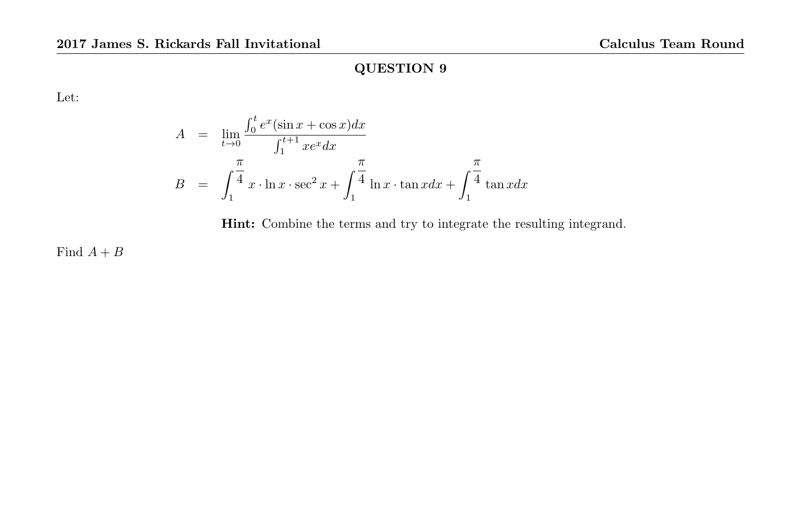Let:

$$
A = \lim_{t \to 0} \frac{\int_0^t e^x (\sin x + \cos x) dx}{\int_1^{t+1} x e^x dx}
$$
  

$$
B = \int_1^{\frac{\pi}{4}} x \cdot \ln x \cdot \sec^2 x + \int_1^{\frac{\pi}{4}} \ln x \cdot \tan x dx + \int_1^{\frac{\pi}{4}} \tan x dx
$$

Hint: Combine the terms and try to integrate the resulting integrand.

Find  $A + B$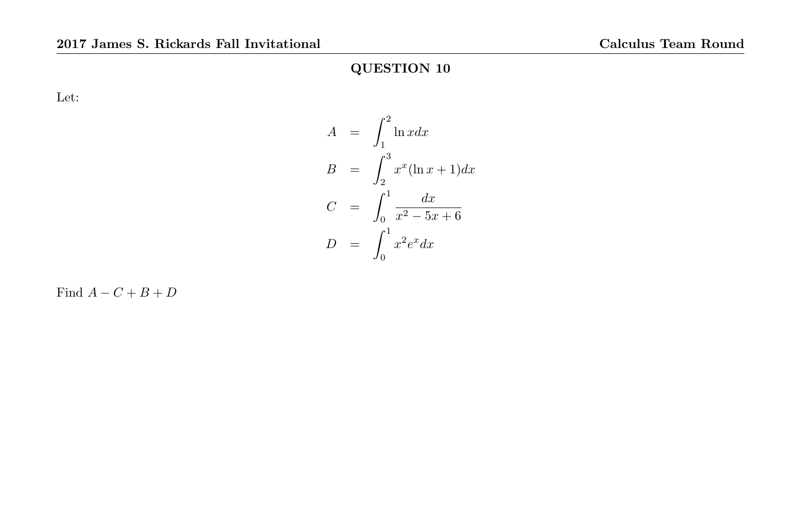Let:

$$
A = \int_1^2 \ln x dx
$$
  
\n
$$
B = \int_2^3 x^x (\ln x + 1) dx
$$
  
\n
$$
C = \int_0^1 \frac{dx}{x^2 - 5x + 6}
$$
  
\n
$$
D = \int_0^1 x^2 e^x dx
$$

Find  $A - C + B + D$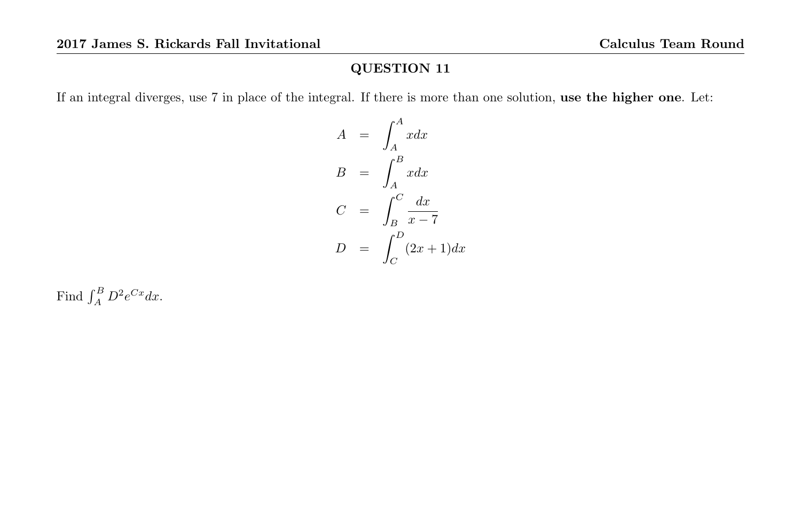If an integral diverges, use 7 in place of the integral. If there is more than one solution, use the higher one. Let:

$$
A = \int_{A}^{A} x dx
$$
  
\n
$$
B = \int_{A}^{B} x dx
$$
  
\n
$$
C = \int_{B}^{C} \frac{dx}{x - 7}
$$
  
\n
$$
D = \int_{C}^{D} (2x + 1) dx
$$

Find  $\int_A^B D^2 e^{Cx} dx$ .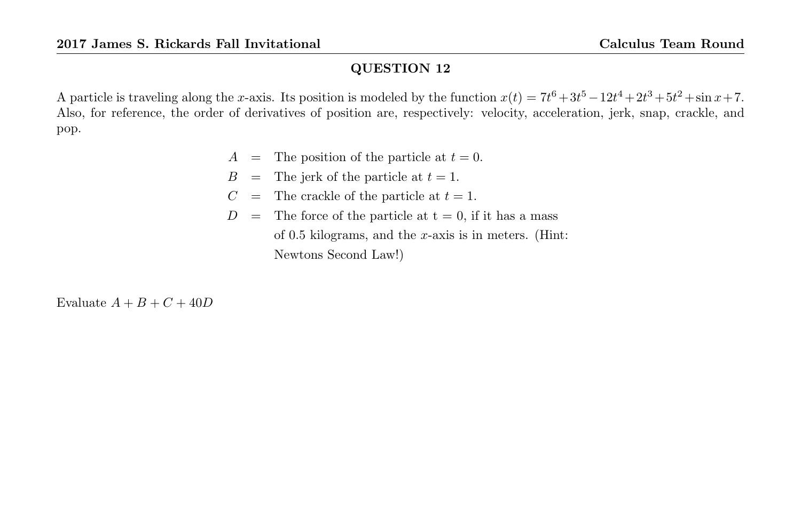A particle is traveling along the x-axis. Its position is modeled by the function  $x(t) = 7t^6 + 3t^5 - 12t^4 + 2t^3 + 5t^2 + \sin x + 7$ . Also, for reference, the order of derivatives of position are, respectively: velocity, acceleration, jerk, snap, crackle, and pop.

- $A =$  The position of the particle at  $t = 0$ .
- $B =$  The jerk of the particle at  $t = 1$ .
- $C =$  The crackle of the particle at  $t = 1$ .
- $D =$ The force of the particle at  $t = 0$ , if it has a mass of 0.5 kilograms, and the  $x$ -axis is in meters. (Hint: Newtons Second Law!)

Evaluate  $A + B + C + 40D$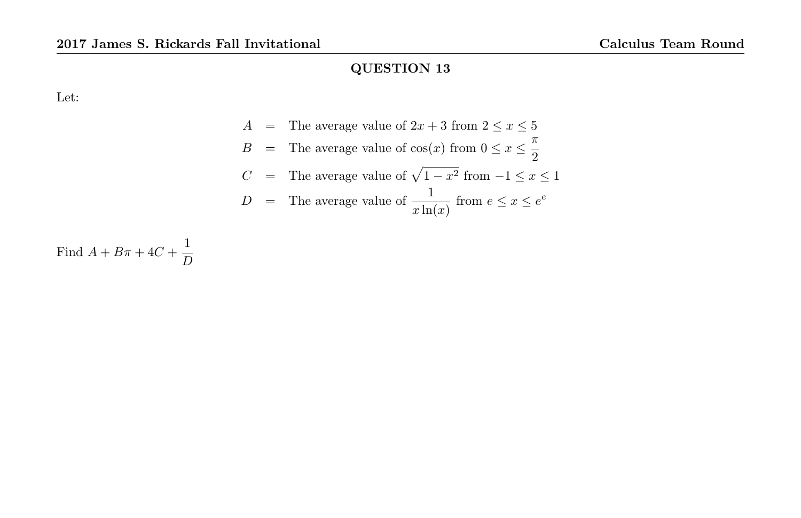Let:

$$
A = \text{The average value of } 2x + 3 \text{ from } 2 \le x \le 5
$$
\n
$$
B = \text{The average value of } \cos(x) \text{ from } 0 \le x \le \frac{\pi}{2}
$$
\n
$$
C = \text{The average value of } \sqrt{1 - x^2} \text{ from } -1 \le x \le 1
$$
\n
$$
D = \text{The average value of } \frac{1}{x \ln(x)} \text{ from } e \le x \le e^e
$$

Find  $A + B\pi + 4C + \frac{1}{b}$ D